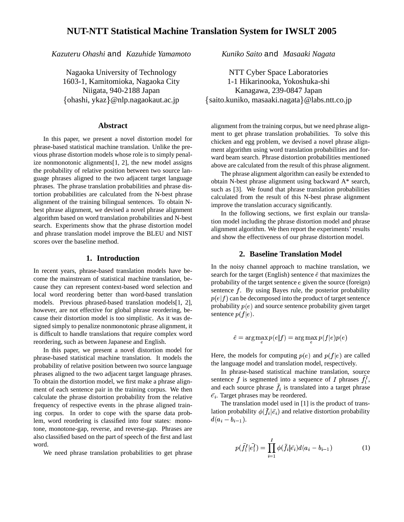*Kazuteru Ohashi* and *Kazuhide Yamamoto*

Nagaoka University of Technology 1603-1, Kamitomioka, Nagaoka City Niigata, 940-2188 Japan ohashi, ykaz @nlp.nagaokaut.ac.jp

#### **Abstract**

In this paper, we present a novel distortion model for phrase-based statistical machine translation. Unlike the previous phrase distortion models whose role is to simply penalize nonmonotonic alignments[1, 2], the new model assigns the probability of relative position between two source language phrases aligned to the two adjacent target language phrases. The phrase translation probabilities and phrase distortion probabilities are calculated from the N-best phrase alignment of the training bilingual sentences. To obtain Nbest phrase alignment, we devised a novel phrase alignment algorithm based on word translation probabilities and N-best search. Experiments show that the phrase distortion model and phrase translation model improve the BLEU and NIST scores over the baseline method.

## **1. Introduction**

In recent years, phrase-based translation models have become the mainstream of statistical machine translation, because they can represent context-based word selection and local word reordering better than word-based translation models. Previous phrased-based translation models[1, 2], however, are not effective for global phrase reordering, because their distortion model is too simplistic. As it was designed simply to penalize nonmonotonic phrase alignment, it is difficult to handle translations that require complex word reordering, such as between Japanese and English.

In this paper, we present a novel distortion model for phrase-based statistical machine translation. It models the probability of relative position between two source language phrases aligned to the two adjacent target language phrases. To obtain the distortion model, we first make a phrase alignment of each sentence pair in the training corpus. We then calculate the phrase distortion probability from the relative frequency of respective events in the phrase aligned training corpus. In order to cope with the sparse data problem, word reordering is classified into four states: monotone, monotone-gap, reverse, and reverse-gap. Phrases are also classified based on the part of speech of the first and last word.

We need phrase translation probabilities to get phrase

*Kuniko Saito* and *Masaaki Nagata*

NTT Cyber Space Laboratories 1-1 Hikarinooka, Yokoshuka-shi Kanagawa, 239-0847 Japan saito.kuniko, masaaki.nagata @labs.ntt.co.jp

alignment from the training corpus, but we need phrase alignment to get phrase translation probabilities. To solve this chicken and egg problem, we devised a novel phrase alignment algorithm using word translation probabilities and forward beam search. Phrase distortion probabilities mentioned above are calculated from the result of this phrase alignment.

The phrase alignment algorithm can easily be extended to obtain N-best phrase alignment using backward A\* search, such as [3]. We found that phrase translation probabilities calculated from the result of this N-best phrase alignment improve the translation accuracy significantly.

In the following sections, we first explain our translation model including the phrase distortion model and phrase alignment algorithm. We then report the experiments' results and show the effectiveness of our phrase distortion model.

### **2. Baseline Translation Model**

In the noisy channel approach to machine translation, we search for the target (English) sentence  $\hat{e}$  that maximizes the probability of the target sentence  $e$  given the source (foreign) sentence  $f$ . By using Bayes rule, the posterior probability  $p(e|f)$  can be decomposed into the product of target sentence probability  $p(e)$  and source sentence probability given target sentence  $p(f|e)$ .

$$
\hat{e} = \arg\max_e p(e|f) = \arg\max_e p(f|e)p(e)
$$

Here, the models for computing  $p(e)$  and  $p(f|e)$  are called the language model and translation model, respectively.

In phrase-based statistical machine translation, source sentence f is segmented into a sequence of I phrases  $f_1^I$ , and each source phrase  $\bar{f}_i$  is translated into a target phrase  $\bar{e}_i$ . Target phrases may be reordered.

The translation model used in [1] is the product of translation probability  $\phi(f_i|\bar{e_i})$  and relative distortion probability  $d(a_i-b_{i-1}).$ 

$$
p(\bar{f}_1^I | \bar{e}_1^I) = \prod_{i=1}^I \phi(\bar{f}_i | \bar{e}_i) d(a_i - b_{i-1})
$$
 (1)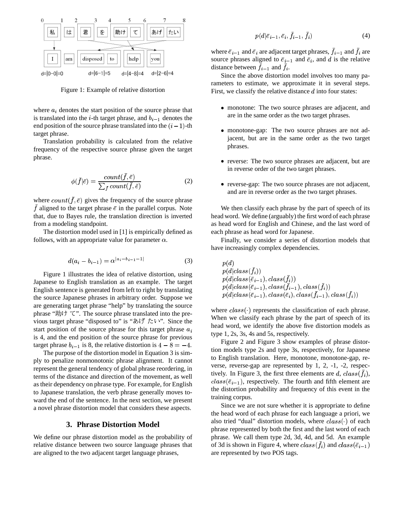

Figure 1: Example of relative distortion

where  $a_i$  denotes the start position of the source phrase that is translated into the *i*-th target phrase, and  $b_{i-1}$  denotes the end position of the source phrase translated into the  $(i - 1)$ -th target phrase.

Translation probability is calculated from the relative frequency of the respective source phrase given the target phrase.

$$
\phi(\bar{f}|\bar{e}) = \frac{count(f, \bar{e})}{\sum_{\bar{f}} count(\bar{f}, \bar{e})}
$$
(2)

where  $count(f, \overline{e})$  gives the frequency of the source phrase f aligned to the target phrase  $\bar{e}$  in the parallel corpus. Note that, due to Bayes rule, the translation direction is inverted from a modeling standpoint.

The distortion model used in [1] is empirically defined as follows, with an appropriate value for parameter  $\alpha$ .

$$
d(a_i - b_{i-1}) = \alpha^{|a_i - b_{i-1} - 1|} \tag{3}
$$

Figure 1 illustrates the idea of relative distortion, using Japanese to English translation as an example. The target English sentence is generated from left to right by translating the source Japanese phrases in arbitrary order. Suppose we are generating target phrase "help" by translating the source phrase " $\sharp \sharp \sharp \uparrow \uparrow$ ". The source phrase translated into the previous target phrase "disposed to" is " $\delta \vec{U} \approx$   $\ell \nu$ ". Since the start position of the source phrase for this target phrase  $a_i$ is 4, and the end position of the source phrase for previous target phrase  $b_{i-1}$  is 8, the relative distortion is  $4-8=-4$ .

The purpose of the distortion model in Equation 3 is simply to penalize nonmonotonic phrase alignment. It cannot represent the general tendency of global phrase reordering, in terms of the distance and direction of the movement, as well as their dependency on phrase type. For example, for English to Japanese translation, the verb phrase generally moves toward the end of the sentence. In the next section, we present a novel phrase distortion model that considers these aspects.

# **3. Phrase Distortion Model**

We define our phrase distortion model as the probability of relative distance between two source language phrases that are aligned to the two adjacent target language phrases,

$$
p(d|\bar{e}_{i-1}, \bar{e}_i, \bar{f}_{i-1}, \bar{f}_i) \tag{4}
$$

where  $\bar{e}_{i-1}$  and  $\bar{e}_i$  are adjacent target phrases,  $f_{i-1}$  and  $f_i$  are source phrases aligned to  $\bar{e}_{i-1}$  and  $\bar{e}_i$ , and d is the relative distance between  $f_{i-1}$  and  $f_i$ .

Since the above distortion model involves too many parameters to estimate, we approximate it in several steps. First, we classify the relative distance  $d$  into four states:

- . monotone: The two source phrases are adjacent, and are in the same order as the two target phrases.
- . monotone-gap: The two source phrases are not adjacent, but are in the same order as the two target phrases.
- reverse: The two source phrases are adjacent, but are in reverse order of the two target phrases.
- . reverse-gap: The two source phrases are not adjacent, and are in reverse order as the two target phrases.

We then classify each phrase by the part of speech of its head word. We define (arguably) the first word of each phrase as head word for English and Chinese, and the last word of each phrase as head word for Japanese.

Finally, we consider a series of distortion models that have increasingly complex dependencies.

$$
\begin{array}{l} p(d)\\ p(d|class(\bar{f}_i))\\ p(d|class(\bar{e}_{i-1}),class(\bar{f}_i))\\ p(d|class(\bar{e}_{i-1}),class(\bar{f}_{i-1}),class(\bar{f}_i))\\ p(d|class(\bar{e}_{i-1}),class(\bar{e}_i),class(\bar{f}_{i-1}),class(\bar{f}_i))\end{array}
$$

where  $class(\cdot)$  represents the classification of each phrase. When we classify each phrase by the part of speech of its head word, we identify the above five distortion models as type 1, 2s, 3s, 4s and 5s, respectively.

 $\frac{1}{1}$  tion models type 2s and type 3s, respectively, for Japanese Figure 2 and Figure 3 show examples of phrase distorto English translation. Here, monotone, monotone-gap, reverse, reverse-gap are represented by 1, 2, -1, -2, respectively. In Figure 3, the first three elements are  $d, class(f_i)$ ,  $class(\bar{e}_{i-1})$ , respectively. The fourth and fifth element are the distortion probability and frequency of this event in the training corpus.

> Since we are not sure whether it is appropriate to define the head word of each phrase for each language a priori, we also tried "dual" distortion models, where  $class(\cdot)$  of each phrase represented by both the first and the last word of each phrase. We call them type 2d, 3d, 4d, and 5d. An example of 3d is shown in Figure 4, where  $class(f_i)$  and  $class(\bar e_{i-1})$ are represented by two POS tags.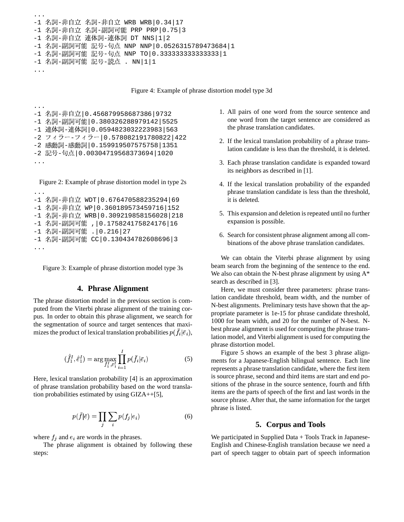```
...
-1 名詞-非自立 名詞-非自立 WRB WRB|0.34|17
-1 名詞-非自立 名詞-副詞可能 PRP PRP|0.75|3
-1 名詞-非自立 連体詞-連体詞 DT NNS|1|2
-1 名詞-副詞可能 記号-句点 NNP NNP|0.0526315789473684|1
-1 名詞-副詞可能 記号-句点 NNP TO|0.333333333333333|1
-1 名詞-副詞可能 記号-読点 . NN|1|1
...
```
Figure 4: Example of phrase distortion model type 3d

```
...
-1 名詞-非自立|0.456879958687386|9732
-1 名詞–副詞可能|0.380326288979142|5525
-1 連体詞-連体詞|0.0594823032223983|563
-2 フィラー-フィラー 0.578082191780822 | 422
-2 感動詞-感動詞|0.159919507575758|1351
-2 記号-句点|0.00304719568373694|1020
...
```
Figure 2: Example of phrase distortion model in type 2s

```
...
-1 名詞-非自立 WDT|0.676470588235294|69
-1 名詞-非自立 WP|0.360189573459716|152
-1 名詞-非自立 WRB|0.309219858156028|218
-1 名詞-副詞可能 ,|0.175824175824176|16
-1 名詞-副詞可能 .|0.216|27
-1 名詞-副詞可能 CC|0.130434782608696|3
...
```
Figure 3: Example of phrase distortion model type 3s

#### **4. Phrase Alignment**

The phrase distortion model in the previous section is computed from the Viterbi phrase alignment of the training corpus. In order to obtain this phrase alignment, we search for the segmentation of source and target sentences that maximizes the product of lexical translation probabilities  $p(f_i | \bar{e}_i)$ ,

$$
(\hat{f}_1^I, \hat{e}_1^I) = \arg \max_{f_1^I, \bar{e}_1^I} \prod_{i=1}^I p(\bar{f}_i | \bar{e}_i)
$$
 (5)

Here, lexical translation probability [4] is an approximation of phrase translation probability based on the word translation probabilities estimated by using GIZA++[5],

$$
p(\bar{f}|\bar{e}) = \prod_{j} \sum_{i} p(f_j|e_i)
$$
 (6)

where  $f_i$  and  $e_i$  are words in the phrases.

The phrase alignment is obtained by following these steps:

- 1. All pairs of one word from the source sentence and one word from the target sentence are considered as the phrase translation candidates.
- 2. If the lexical translation probability of a phrase translation candidate is less than the threshold, it is deleted.
- 3. Each phrase translation candidate is expanded toward its neighbors as described in [1].
- 4. If the lexical translation probability of the expanded phrase translation candidate is less than the threshold, it is deleted.
- 5. This expansion and deletion is repeated until no further expansion is possible.
- 6. Search for consistent phrase alignment among all combinations of the above phrase translation candidates.

We can obtain the Viterbi phrase alignment by using beam search from the beginning of the sentence to the end. We also can obtain the N-best phrase alignment by using  $A^*$ search as described in [3].

Here, we must consider three parameters: phrase translation candidate threshold, beam width, and the number of N-best alignments. Preliminary tests have shown that the appropriate parameter is 1e-15 for phrase candidate threshold, 1000 for beam width, and 20 for the number of N-best. Nbest phrase alignment is used for computing the phrase translation model, and Viterbi alignment is used for computing the phrase distortion model.

Figure 5 shows an example of the best 3 phrase alignments for a Japanese-English bilingual sentence. Each line represents a phrase translation candidate, where the first item is source phrase, second and third items are start and end positions of the phrase in the source sentence, fourth and fifth items are the parts of speech of the first and last words in the source phrase. After that, the same information for the target phrase is listed.

#### **5. Corpus and Tools**

We participated in Supplied Data + Tools Track in Japanese-English and Chinese-English translation because we need a part of speech tagger to obtain part of speech information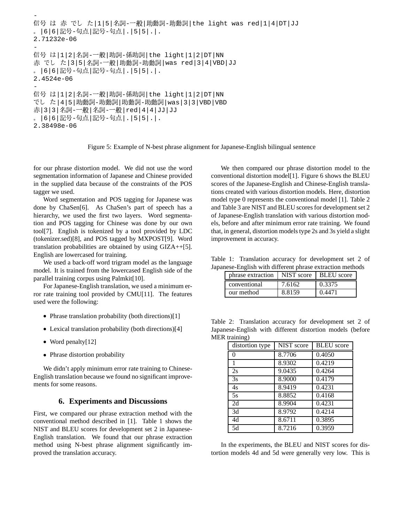```
- Company and Company
 号 は 赤 でし た|1|5|名詞-一般|助動詞-助動詞|the light was red|1|4|DT|JJ
。|6|6|記号-句点|記号-句点|.|5|5|.|.
2.71232e-06
-
 号 は|1|2|名詞-一般|助詞-係助詞|the light|1|2|DT|NN
赤 でし た|3|5|名詞-一般|助動詞-助動詞|was red|3|4|VBD|JJ
。|6|6|記号-句点|記号-句点|.|5|5|.|.
2.4524e-06
- Company and Company
 号 は|1|2|名詞-一般|助詞-係助詞|the light|1|2|DT|NN
でし た|4|5|助動詞-助動詞|助動詞-助動詞|was|3|3|VBD|VBD
赤|3|3|名詞-一般|名詞-一般|red|4|4|JJ|JJ
。|6|6|記号-句点|記号-句点|.|5|5|.|.
2.38498e-06
```
Figure 5: Example of N-best phrase alignment for Japanese-English bilingual sentence

for our phrase distortion model. We did not use the word segmentation information of Japanese and Chinese provided in the supplied data because of the constraints of the POS tagger we used.

Word segmentation and POS tagging for Japanese was done by ChaSen[6]. As ChaSen's part of speech has a hierarchy, we used the first two layers. Word segmentation and POS tagging for Chinese was done by our own tool[7]. English is tokenized by a tool provided by LDC (tokenizer.sed)[8], and POS tagged by MXPOST[9]. Word translation probabilities are obtained by using GIZA++[5]. English are lowercased for training.

We used a back-off word trigram model as the language model. It is trained from the lowercased English side of the parallel training corpus using Palmkit[10].

For Japanese-English translation, we used a minimum error rate training tool provided by CMU[11]. The features used were the following:

- Phrase translation probability (both directions)[1]
- . Lexical translation probability (both directions)[4]
- Word penalty[12]
- . Phrase distortion probability

We didn't apply minimum error rate training to Chinese-English translation because we found no significant improvements for some reasons.

#### **6. Experiments and Discussions**

First, we compared our phrase extraction method with the conventional method described in [1]. Table 1 shows the NIST and BLEU scores for development set 2 in Japanese-English translation. We found that our phrase extraction method using N-best phrase alignment significantly improved the translation accuracy.

We then compared our phrase distortion model to the conventional distortion model[1]. Figure 6 shows the BLEU scores of the Japanese-English and Chinese-English translations created with various distortion models. Here, distortion model type 0 represents the conventional model [1]. Table 2 and Table 3 are NIST and BLEU scores for development set 2 of Japanese-English translation with various distortion models, before and after minimum error rate training. We found that, in general, distortion models type 2s and 3s yield a slight improvement in accuracy.

Table 1: Translation accuracy for development set 2 of Japanese-English with different phrase extraction methods

| phrase extraction   NIST score   BLEU score |        |        |
|---------------------------------------------|--------|--------|
| conventional                                | 7.6162 | 0.3375 |
| our method                                  | 8.8159 | 0.4471 |

Table 2: Translation accuracy for development set 2 of Japanese-English with different distortion models (before MER training)

| $\ldots$<br>distortion type | NIST score | <b>BLEU</b> score |
|-----------------------------|------------|-------------------|
| 0                           | 8.7706     | 0.4050            |
| 1                           | 8.9302     | 0.4219            |
| 2s                          | 9.0435     | 0.4264            |
| 3s                          | 8.9000     | 0.4179            |
| 4s                          | 8.9419     | 0.4231            |
| 5s                          | 8.8852     | 0.4168            |
| 2d                          | 8.9904     | 0.4231            |
| 3d                          | 8.9792     | 0.4214            |
| 4d                          | 8.6711     | 0.3895            |
| 5d                          | 8.7216     | 0.3959            |

In the experiments, the BLEU and NIST scores for distortion models 4d and 5d were generally very low. This is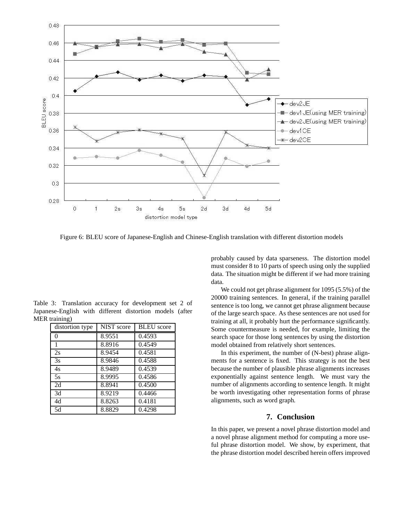

Figure 6: BLEU score of Japanese-English and Chinese-English translation with different distortion models

Table 3: Translation accuracy for development set 2 of Japanese-English with different distortion models (after MER training)

| distortion type | <b>NIST</b> score | <b>BLEU</b> score |
|-----------------|-------------------|-------------------|
| 0               | 8.9551            | 0.4593            |
| 1               | 8.8916            | 0.4549            |
| 2s              | 8.9454            | 0.4581            |
| 3s              | 8.9846            | 0.4588            |
| 4s              | 8.9489            | 0.4539            |
| 5s              | 8.9995            | 0.4586            |
| 2d              | 8.8941            | 0.4500            |
| 3d              | 8.9219            | 0.4466            |
| 4d              | 8.8263            | 0.4181            |
| 5d              | 8.8829            | 0.4298            |

probably caused by data sparseness. The distortion model must consider 8 to 10 parts of speech using only the supplied data. The situation might be different if we had more training data.

We could not get phrase alignment for 1095 (5.5%) of the 20000 training sentences. In general, if the training parallel sentence is too long, we cannot get phrase alignment because of the large search space. As these sentences are not used for training at all, it probably hurt the performance significantly. Some countermeasure is needed, for example, limiting the search space for those long sentences by using the distortion model obtained from relatively short sentences.

In this experiment, the number of (N-best) phrase alignments for a sentence is fixed. This strategy is not the best because the number of plausible phrase alignments increases exponentially against sentence length. We must vary the number of alignments according to sentence length. It might be worth investigating other representation forms of phrase alignments, such as word graph.

# **7. Conclusion**

In this paper, we present a novel phrase distortion model and a novel phrase alignment method for computing a more useful phrase distortion model. We show, by experiment, that the phrase distortion model described herein offers improved